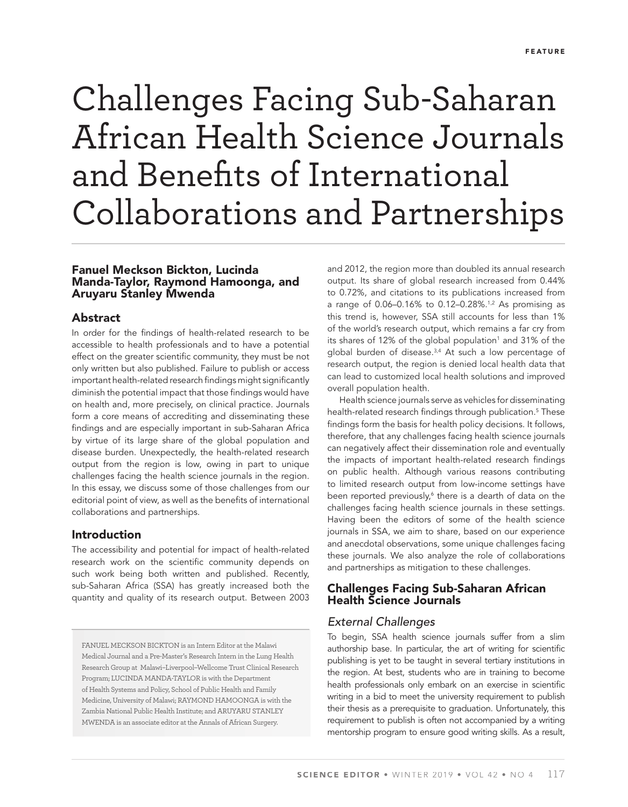# Challenges Facing Sub-Saharan African Health Science Journals and Benefits of International Collaborations and Partnerships

### Fanuel Meckson Bickton, Lucinda Manda-Taylor, Raymond Hamoonga, and Aruyaru Stanley Mwenda

#### Abstract

In order for the findings of health-related research to be accessible to health professionals and to have a potential effect on the greater scientific community, they must be not only written but also published. Failure to publish or access important health-related research findings might significantly diminish the potential impact that those findings would have on health and, more precisely, on clinical practice. Journals form a core means of accrediting and disseminating these findings and are especially important in sub-Saharan Africa by virtue of its large share of the global population and disease burden. Unexpectedly, the health-related research output from the region is low, owing in part to unique challenges facing the health science journals in the region. In this essay, we discuss some of those challenges from our editorial point of view, as well as the benefits of international collaborations and partnerships.

#### Introduction

The accessibility and potential for impact of health-related research work on the scientific community depends on such work being both written and published. Recently, sub-Saharan Africa (SSA) has greatly increased both the quantity and quality of its research output. Between 2003

FANUEL MECKSON BICKTON is an Intern Editor at the Malawi Medical Journal and a Pre-Master's Research Intern in the Lung Health Research Group at Malawi–Liverpool–Wellcome Trust Clinical Research Program; LUCINDA MANDA-TAYLOR is with the Department of Health Systems and Policy, School of Public Health and Family Medicine, University of Malawi; RAYMOND HAMOONGA is with the Zambia National Public Health Institute; and ARUYARU STANLEY MWENDA is an associate editor at the Annals of African Surgery.

and 2012, the region more than doubled its annual research output. Its share of global research increased from 0.44% to 0.72%, and citations to its publications increased from a range of 0.06-0.16% to 0.12-0.28%.<sup>1,2</sup> As promising as this trend is, however, SSA still accounts for less than 1% of the world's research output, which remains a far cry from its shares of 12% of the global population<sup>1</sup> and 31% of the global burden of disease.3,4 At such a low percentage of research output, the region is denied local health data that can lead to customized local health solutions and improved overall population health.

Health science journals serve as vehicles for disseminating health-related research findings through publication.<sup>5</sup> These findings form the basis for health policy decisions. It follows, therefore, that any challenges facing health science journals can negatively affect their dissemination role and eventually the impacts of important health-related research findings on public health. Although various reasons contributing to limited research output from low-income settings have been reported previously,<sup>6</sup> there is a dearth of data on the challenges facing health science journals in these settings. Having been the editors of some of the health science journals in SSA, we aim to share, based on our experience and anecdotal observations, some unique challenges facing these journals. We also analyze the role of collaborations and partnerships as mitigation to these challenges.

#### Challenges Facing Sub-Saharan African Health Science Journals

# *External Challenges*

To begin, SSA health science journals suffer from a slim authorship base. In particular, the art of writing for scientific publishing is yet to be taught in several tertiary institutions in the region. At best, students who are in training to become health professionals only embark on an exercise in scientific writing in a bid to meet the university requirement to publish their thesis as a prerequisite to graduation. Unfortunately, this requirement to publish is often not accompanied by a writing mentorship program to ensure good writing skills. As a result,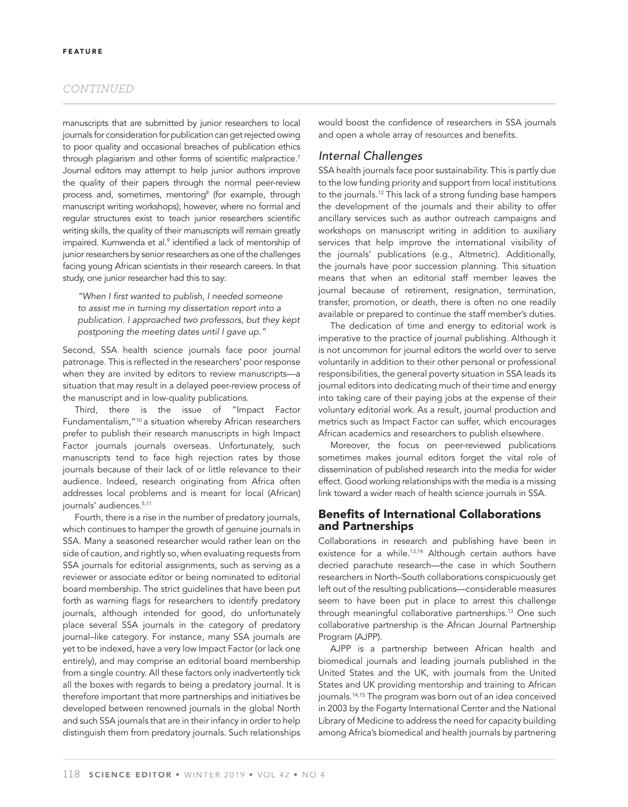#### *CONTINUED*

manuscripts that are submitted by junior researchers to local journals for consideration for publication can get rejected owing to poor quality and occasional breaches of publication ethics through plagiarism and other forms of scientific malpractice.<sup>7</sup> Journal editors may attempt to help junior authors improve the quality of their papers through the normal peer-review process and, sometimes, mentoring<sup>8</sup> (for example, through manuscript writing workshops); however, where no formal and regular structures exist to teach junior researchers scientific writing skills, the quality of their manuscripts will remain greatly impaired. Kumwenda et al.<sup>9</sup> identified a lack of mentorship of junior researchers by senior researchers as one of the challenges facing young African scientists in their research careers. In that study, one junior researcher had this to say:

"When I first wanted to publish, I needed someone *to assist me in turning my dissertation report into a publication. I approached two professors, but they kept postponing the meeting dates until I gave up."*

Second, SSA health science journals face poor journal patronage. This is reflected in the researchers' poor response when they are invited by editors to review manuscripts—a situation that may result in a delayed peer-review process of the manuscript and in low-quality publications.

Third, there is the issue of "Impact Factor Fundamentalism,"10 a situation whereby African researchers prefer to publish their research manuscripts in high Impact Factor journals journals overseas. Unfortunately, such manuscripts tend to face high rejection rates by those journals because of their lack of or little relevance to their audience. Indeed, research originating from Africa often addresses local problems and is meant for local (African) journals' audiences.<sup>5,11</sup>

Fourth, there is a rise in the number of predatory journals, which continues to hamper the growth of genuine journals in SSA. Many a seasoned researcher would rather lean on the side of caution, and rightly so, when evaluating requests from SSA journals for editorial assignments, such as serving as a reviewer or associate editor or being nominated to editorial board membership. The strict guidelines that have been put forth as warning flags for researchers to identify predatory journals, although intended for good, do unfortunately place several SSA journals in the category of predatory journal–like category. For instance, many SSA journals are yet to be indexed, have a very low Impact Factor (or lack one entirely), and may comprise an editorial board membership from a single country. All these factors only inadvertently tick all the boxes with regards to being a predatory journal. It is therefore important that more partnerships and initiatives be developed between renowned journals in the global North and such SSA journals that are in their infancy in order to help distinguish them from predatory journals. Such relationships

would boost the confidence of researchers in SSA journals and open a whole array of resources and benefits.

#### *Internal Challenges*

SSA health journals face poor sustainability. This is partly due to the low funding priority and support from local institutions to the journals.12 This lack of a strong funding base hampers the development of the journals and their ability to offer ancillary services such as author outreach campaigns and workshops on manuscript writing in addition to auxiliary services that help improve the international visibility of the journals' publications (e.g., Altmetric). Additionally, the journals have poor succession planning. This situation means that when an editorial staff member leaves the journal because of retirement, resignation, termination, transfer, promotion, or death, there is often no one readily available or prepared to continue the staff member's duties.

The dedication of time and energy to editorial work is imperative to the practice of journal publishing. Although it is not uncommon for journal editors the world over to serve voluntarily in addition to their other personal or professional responsibilities, the general poverty situation in SSA leads its journal editors into dedicating much of their time and energy into taking care of their paying jobs at the expense of their voluntary editorial work. As a result, journal production and metrics such as Impact Factor can suffer, which encourages African academics and researchers to publish elsewhere.

Moreover, the focus on peer-reviewed publications sometimes makes journal editors forget the vital role of dissemination of published research into the media for wider effect. Good working relationships with the media is a missing link toward a wider reach of health science journals in SSA.

### **Benefits of International Collaborations** and Partnerships

Collaborations in research and publishing have been in existence for a while.<sup>13,14</sup> Although certain authors have decried parachute research—the case in which Southern researchers in North–South collaborations conspicuously get left out of the resulting publications—considerable measures seem to have been put in place to arrest this challenge through meaningful collaborative partnerships.13 One such collaborative partnership is the African Journal Partnership Program (AJPP).

AJPP is a partnership between African health and biomedical journals and leading journals published in the United States and the UK, with journals from the United States and UK providing mentorship and training to African journals.14,15 The program was born out of an idea conceived in 2003 by the Fogarty International Center and the National Library of Medicine to address the need for capacity building among Africa's biomedical and health journals by partnering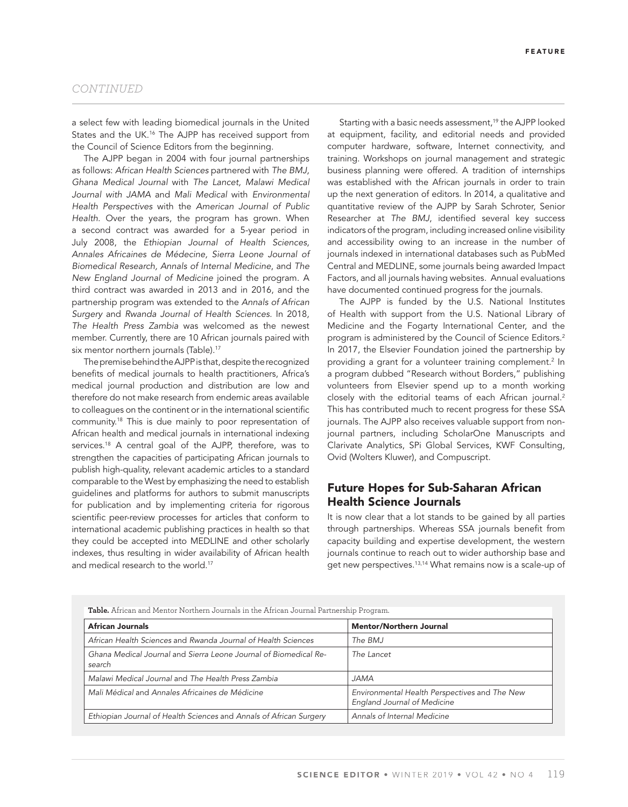#### *CONTINUED*

a select few with leading biomedical journals in the United States and the UK.16 The AJPP has received support from the Council of Science Editors from the beginning.

The AJPP began in 2004 with four journal partnerships as follows: *African Health Sciences* partnered with *The BMJ, Ghana Medical Journal* with *The Lancet, Malawi Medical Journal with JAMA* and *Mali Medical* with *Environmental Health Perspectives* with the *American Journal of Public Health*. Over the years, the program has grown. When a second contract was awarded for a 5-year period in July 2008, the *Ethiopian Journal of Health Sciences, Annales Africaines de Médecine, Sierra Leone Journal of Biomedical Research, Annals of Internal Medicine*, and *The New England Journal of Medicine* joined the program. A third contract was awarded in 2013 and in 2016, and the partnership program was extended to the *Annals of African Surgery* and *Rwanda Journal of Health Sciences.* In 2018*, The Health Press Zambia* was welcomed as the newest member. Currently, there are 10 African journals paired with six mentor northern journals (Table).<sup>17</sup>

The premise behind the AJPP is that, despite the recognized benefits of medical journals to health practitioners, Africa's medical journal production and distribution are low and therefore do not make research from endemic areas available to colleagues on the continent or in the international scientific community.18 This is due mainly to poor representation of African health and medical journals in international indexing services.<sup>18</sup> A central goal of the AJPP, therefore, was to strengthen the capacities of participating African journals to publish high-quality, relevant academic articles to a standard comparable to the West by emphasizing the need to establish guidelines and platforms for authors to submit manuscripts for publication and by implementing criteria for rigorous scientific peer-review processes for articles that conform to international academic publishing practices in health so that they could be accepted into MEDLINE and other scholarly indexes, thus resulting in wider availability of African health and medical research to the world.<sup>17</sup>

Starting with a basic needs assessment,<sup>19</sup> the AJPP looked at equipment, facility, and editorial needs and provided computer hardware, software, Internet connectivity, and training. Workshops on journal management and strategic business planning were offered. A tradition of internships was established with the African journals in order to train up the next generation of editors. In 2014, a qualitative and quantitative review of the AJPP by Sarah Schroter, Senior Researcher at *The BMJ*, identified several key success indicators of the program, including increased online visibility and accessibility owing to an increase in the number of journals indexed in international databases such as PubMed Central and MEDLINE, some journals being awarded Impact Factors, and all journals having websites. Annual evaluations have documented continued progress for the journals.

The AJPP is funded by the U.S. National Institutes of Health with support from the U.S. National Library of Medicine and the Fogarty International Center, and the program is administered by the Council of Science Editors.2 In 2017, the Elsevier Foundation joined the partnership by providing a grant for a volunteer training complement.<sup>2</sup> In a program dubbed "Research without Borders," publishing volunteers from Elsevier spend up to a month working closely with the editorial teams of each African journal.<sup>2</sup> This has contributed much to recent progress for these SSA journals. The AJPP also receives valuable support from nonjournal partners, including ScholarOne Manuscripts and Clarivate Analytics, SPi Global Services, KWF Consulting, Ovid (Wolters Kluwer), and Compuscript.

# Future Hopes for Sub-Saharan African Health Science Journals

It is now clear that a lot stands to be gained by all parties through partnerships. Whereas SSA journals benefit from capacity building and expertise development, the western journals continue to reach out to wider authorship base and get new perspectives.13,14 What remains now is a scale-up of

| <b>Table.</b> African and Mentor Northern Journals in the African Journal Partnership Program. |                                                                              |
|------------------------------------------------------------------------------------------------|------------------------------------------------------------------------------|
| <b>African Journals</b>                                                                        | <b>Mentor/Northern Journal</b>                                               |
| African Health Sciences and Rwanda Journal of Health Sciences                                  | The BMJ                                                                      |
| Ghana Medical Journal and Sierra Leone Journal of Biomedical Re-<br>search                     | The Lancet                                                                   |
| Malawi Medical Journal and The Health Press Zambia                                             | <b>JAMA</b>                                                                  |
| Mali Médical and Annales Africaines de Médicine                                                | Environmental Health Perspectives and The New<br>England Journal of Medicine |
| Ethiopian Journal of Health Sciences and Annals of African Surgery                             | Annals of Internal Medicine                                                  |